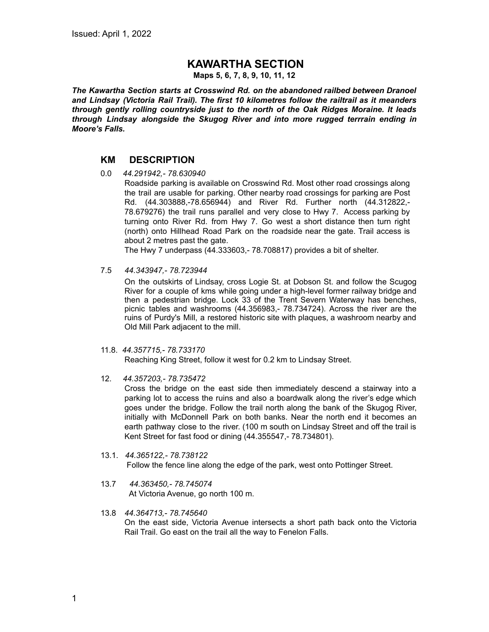## **KAWARTHA SECTION**

**Maps 5, 6, 7, 8, 9, 10, 11, 12**

*The Kawartha Section starts at Crosswind Rd. on the abandoned railbed between Dranoel and Lindsay (Victoria Rail Trail). The first 10 kilometres follow the railtrail as it meanders through gently rolling countryside just to the north of the Oak Ridges Moraine. It leads through Lindsay alongside the Skugog River and into more rugged terrrain ending in Moore's Falls.*

## **KM DESCRIPTION**

0.0 *44.291942,- 78.630940*

Roadside parking is available on Crosswind Rd. Most other road crossings along the trail are usable for parking. Other nearby road crossings for parking are Post Rd. (44.303888,-78.656944) and River Rd. Further north (44.312822,- 78.679276) the trail runs parallel and very close to Hwy 7. Access parking by turning onto River Rd. from Hwy 7. Go west a short distance then turn right (north) onto Hillhead Road Park on the roadside near the gate. Trail access is about 2 metres past the gate.

The Hwy 7 underpass (44.333603,- 78.708817) provides a bit of shelter.

7.5 *44.343947,- 78.723944*

On the outskirts of Lindsay, cross Logie St. at Dobson St. and follow the Scugog River for a couple of kms while going under a high-level former railway bridge and then a pedestrian bridge. Lock 33 of the Trent Severn Waterway has benches, picnic tables and washrooms (44.356983,- 78.734724). Across the river are the ruins of Purdy's Mill, a restored historic site with plaques, a washroom nearby and Old Mill Park adjacent to the mill.

11.8. *44.357715,- 78.733170*

Reaching King Street, follow it west for 0.2 km to Lindsay Street.

12. *44.357203,- 78.735472*

Cross the bridge on the east side then immediately descend a stairway into a parking lot to access the ruins and also a boardwalk along the river's edge which goes under the bridge. Follow the trail north along the bank of the Skugog River, initially with McDonnell Park on both banks. Near the north end it becomes an earth pathway close to the river. (100 m south on Lindsay Street and off the trail is Kent Street for fast food or dining (44.355547,- 78.734801).

- 13.1. *44.365122,- 78.738122* Follow the fence line along the edge of the park, west onto Pottinger Street.
- 13.7 *44.363450,- 78.745074* At Victoria Avenue, go north 100 m.
- 13.8 *44.364713,- 78.745640* On the east side, Victoria Avenue intersects a short path back onto the Victoria Rail Trail. Go east on the trail all the way to Fenelon Falls.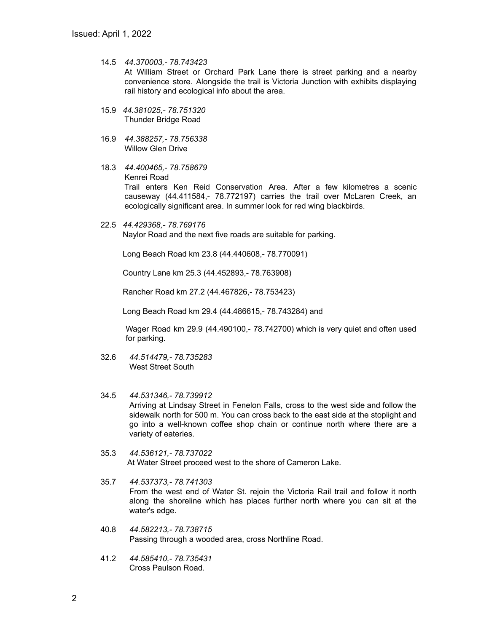- 14.5 *44.370003,- 78.743423* At William Street or Orchard Park Lane there is street parking and a nearby convenience store. Alongside the trail is Victoria Junction with exhibits displaying rail history and ecological info about the area.
- 15.9 *44.381025,- 78.751320* Thunder Bridge Road
- 16.9 *44.388257,- 78.756338* Willow Glen Drive
- 18.3 *44.400465,- 78.758679* Kenrei Road Trail enters Ken Reid Conservation Area. After a few kilometres a scenic causeway (44.411584,- 78.772197) carries the trail over McLaren Creek, an ecologically significant area. In summer look for red wing blackbirds.
- 22.5 *44.429368,- 78.769176* Naylor Road and the next five roads are suitable for parking.

Long Beach Road km 23.8 (44.440608,- 78.770091)

Country Lane km 25.3 (44.452893,- 78.763908)

Rancher Road km 27.2 (44.467826,- 78.753423)

Long Beach Road km 29.4 (44.486615,- 78.743284) and

Wager Road km 29.9 (44.490100,- 78.742700) which is very quiet and often used for parking.

- 32.6 *44.514479,- 78.735283* West Street South
- 34.5 *44.531346,- 78.739912* Arriving at Lindsay Street in Fenelon Falls, cross to the west side and follow the sidewalk north for 500 m. You can cross back to the east side at the stoplight and go into a well-known coffee shop chain or continue north where there are a variety of eateries.
- 35.3 *44.536121,- 78.737022* At Water Street proceed west to the shore of Cameron Lake.
- 35.7 *44.537373,- 78.741303* From the west end of Water St. rejoin the Victoria Rail trail and follow it north along the shoreline which has places further north where you can sit at the water's edge.
- 40.8 *44.582213,- 78.738715* Passing through a wooded area, cross Northline Road.
- 41.2 *44.585410,- 78.735431* Cross Paulson Road.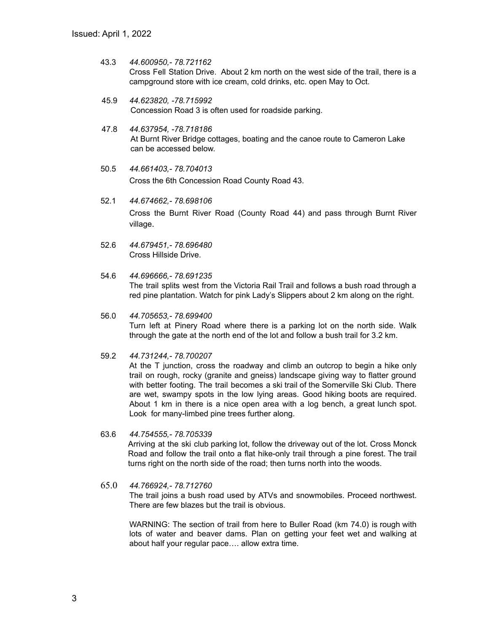- 43.3 *44.600950,- 78.721162* Cross Fell Station Drive. About 2 km north on the west side of the trail, there is a campground store with ice cream, cold drinks, etc. open May to Oct.
- 45.9 *44.623820, -78.715992* Concession Road 3 is often used for roadside parking.
- 47.8 *44.637954, -78.718186* At Burnt River Bridge cottages, boating and the canoe route to Cameron Lake can be accessed below.
- 50.5 *44.661403,- 78.704013* Cross the 6th Concession Road County Road 43.
- 52.1 *44.674662,- 78.698106* Cross the Burnt River Road (County Road 44) and pass through Burnt River village.
- 52.6 *44.679451,- 78.696480* Cross Hillside Drive.
- 54.6 *44.696666,- 78.691235* The trail splits west from the Victoria Rail Trail and follows a bush road through a red pine plantation. Watch for pink Lady's Slippers about 2 km along on the right.
- 56.0 *44.705653,- 78.699400* Turn left at Pinery Road where there is a parking lot on the north side. Walk through the gate at the north end of the lot and follow a bush trail for 3.2 km.
- 59.2 *44.731244,- 78.700207*

At the T junction, cross the roadway and climb an outcrop to begin a hike only trail on rough, rocky (granite and gneiss) landscape giving way to flatter ground with better footing. The trail becomes a ski trail of the Somerville Ski Club. There are wet, swampy spots in the low lying areas. Good hiking boots are required. About 1 km in there is a nice open area with a log bench, a great lunch spot. Look for many-limbed pine trees further along.

- 63.6 *44.754555,- 78.705339* Arriving at the ski club parking lot, follow the driveway out of the lot. Cross Monck Road and follow the trail onto a flat hike-only trail through a pine forest. The trail turns right on the north side of the road; then turns north into the woods.
- 65.0 *44.766924,- 78.712760* The trail joins a bush road used by ATVs and snowmobiles. Proceed northwest. There are few blazes but the trail is obvious.

WARNING: The section of trail from here to Buller Road (km 74.0) is rough with lots of water and beaver dams. Plan on getting your feet wet and walking at about half your regular pace…. allow extra time.